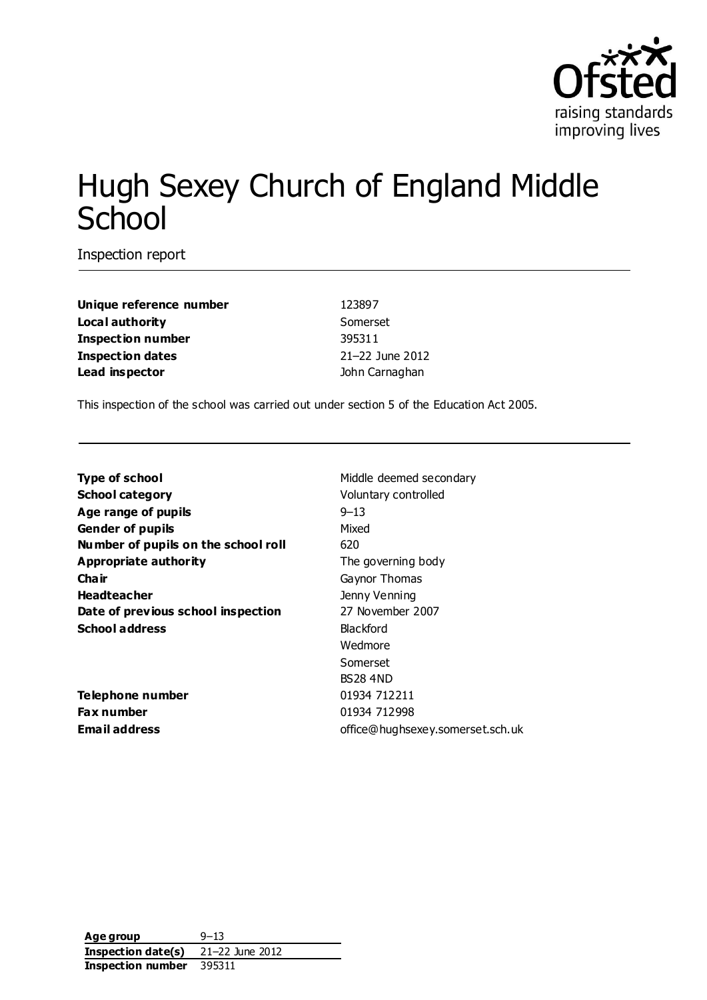

# Hugh Sexey Church of England Middle **School**

Inspection report

**Unique reference number** 123897 **Local authority** Somerset **Inspection number** 395311 **Inspection dates** 21–22 June 2012 **Lead inspector contract in the U.S. of the U.S. of the U.S. of the U.S. of the U.S. of the U.S. of the U.S. of the U.S. of the U.S. of the U.S. of the U.S. of the U.S. of the U.S. of the U.S. of the U.S. of the U.S. of** 

This inspection of the school was carried out under section 5 of the Education Act 2005.

**Type of school** Middle deemed secondary **School category Voluntary controlled Age range of pupils** 9–13 **Gender of pupils** Mixed **Number of pupils on the school roll** 620 **Appropriate authority** The governing body **Chair** Gaynor Thomas **Headteacher Headteacher Jenny Venning Date of previous school inspection** 27 November 2007 **School address** Blackford

**Telephone number** 01934 712211 **Fax number** 01934 712998

Wedmore Somerset BS28 4ND **Email address** office@hughsexey.somerset.sch.uk

**Age group** 9–13 **Inspection date(s)** 21–22 June 2012 **Inspection number** 395311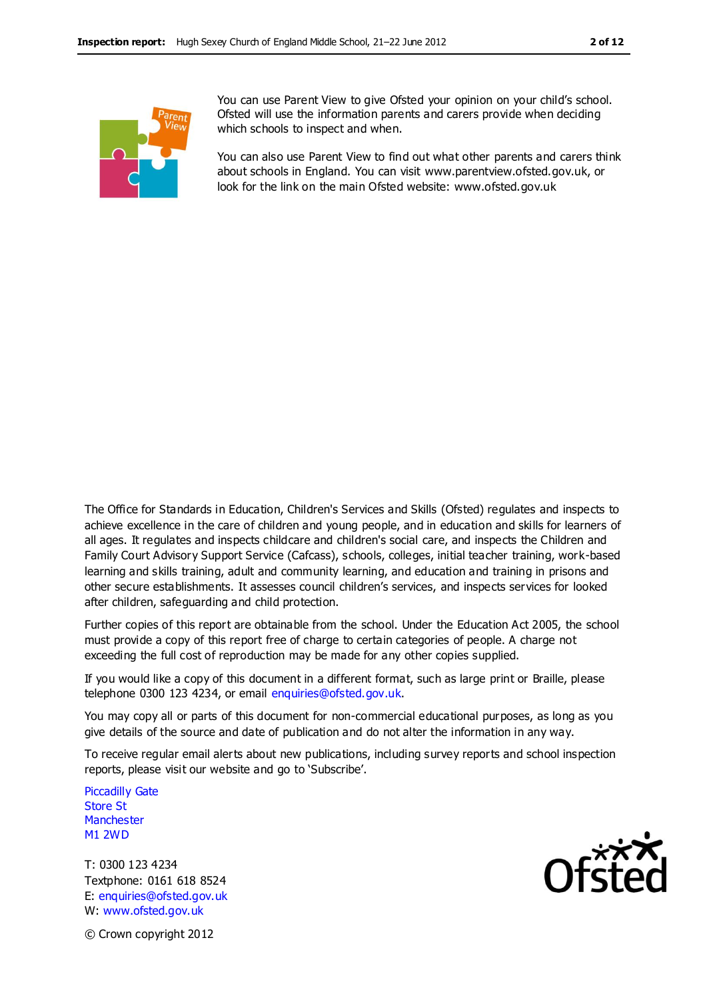

You can use Parent View to give Ofsted your opinion on your child's school. Ofsted will use the information parents and carers provide when deciding which schools to inspect and when.

You can also use Parent View to find out what other parents and carers think about schools in England. You can visit www.parentview.ofsted.gov.uk, or look for the link on the main Ofsted website: www.ofsted.gov.uk

The Office for Standards in Education, Children's Services and Skills (Ofsted) regulates and inspects to achieve excellence in the care of children and young people, and in education and skills for learners of all ages. It regulates and inspects childcare and children's social care, and inspects the Children and Family Court Advisory Support Service (Cafcass), schools, colleges, initial teacher training, work-based learning and skills training, adult and community learning, and education and training in prisons and other secure establishments. It assesses council children's services, and inspects services for looked after children, safeguarding and child protection.

Further copies of this report are obtainable from the school. Under the Education Act 2005, the school must provide a copy of this report free of charge to certain categories of people. A charge not exceeding the full cost of reproduction may be made for any other copies supplied.

If you would like a copy of this document in a different format, such as large print or Braille, please telephone 0300 123 4234, or email enquiries@ofsted.gov.uk.

You may copy all or parts of this document for non-commercial educational purposes, as long as you give details of the source and date of publication and do not alter the information in any way.

To receive regular email alerts about new publications, including survey reports and school inspection reports, please visit our website and go to 'Subscribe'.

Piccadilly Gate Store St **Manchester** M1 2WD

T: 0300 123 4234 Textphone: 0161 618 8524 E: enquiries@ofsted.gov.uk W: www.ofsted.gov.uk



© Crown copyright 2012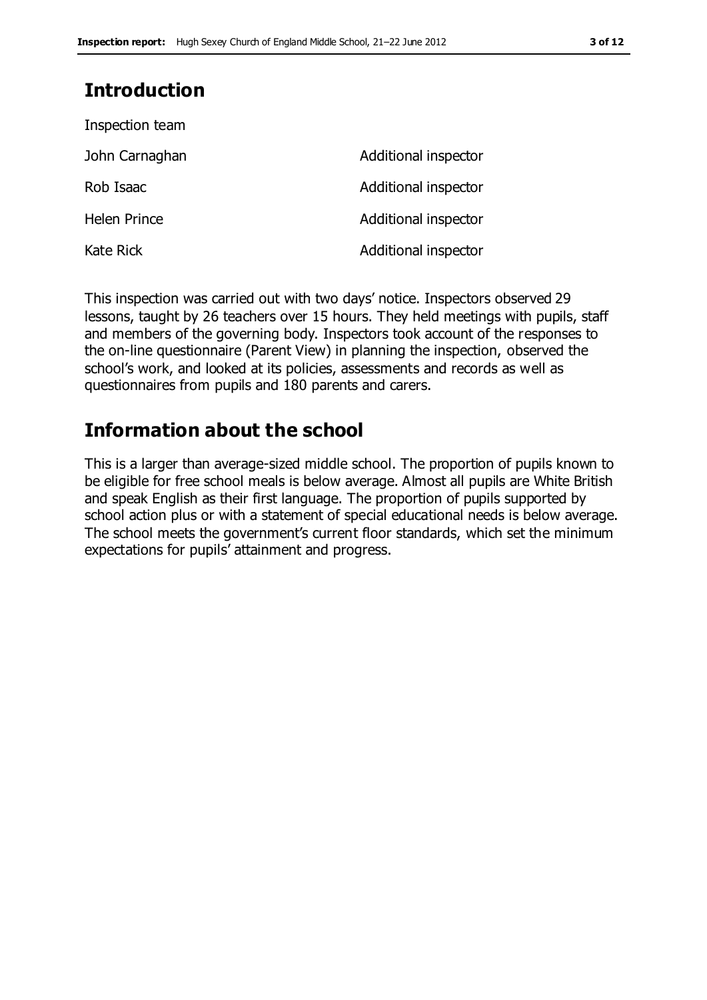### **Introduction**

| Inspection team     |                      |
|---------------------|----------------------|
| John Carnaghan      | Additional inspector |
| Rob Isaac           | Additional inspector |
| <b>Helen Prince</b> | Additional inspector |
| <b>Kate Rick</b>    | Additional inspector |

This inspection was carried out with two days' notice. Inspectors observed 29 lessons, taught by 26 teachers over 15 hours. They held meetings with pupils, staff and members of the governing body. Inspectors took account of the responses to the on-line questionnaire (Parent View) in planning the inspection, observed the school's work, and looked at its policies, assessments and records as well as questionnaires from pupils and 180 parents and carers.

### **Information about the school**

This is a larger than average-sized middle school. The proportion of pupils known to be eligible for free school meals is below average. Almost all pupils are White British and speak English as their first language. The proportion of pupils supported by school action plus or with a statement of special educational needs is below average. The school meets the government's current floor standards, which set the minimum expectations for pupils' attainment and progress.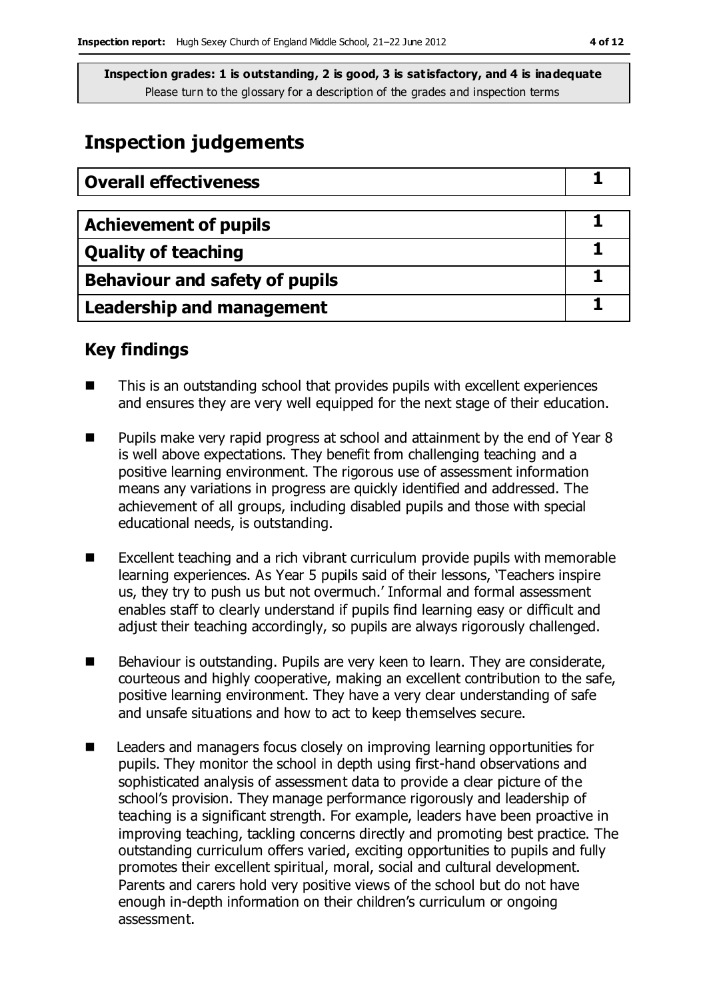### **Inspection judgements**

| <b>Overall effectiveness</b>     |  |
|----------------------------------|--|
|                                  |  |
| <b>Achievement of pupils</b>     |  |
| <b>Quality of teaching</b>       |  |
| Behaviour and safety of pupils   |  |
| <b>Leadership and management</b> |  |

### **Key findings**

- This is an outstanding school that provides pupils with excellent experiences and ensures they are very well equipped for the next stage of their education.
- Pupils make very rapid progress at school and attainment by the end of Year 8 is well above expectations. They benefit from challenging teaching and a positive learning environment. The rigorous use of assessment information means any variations in progress are quickly identified and addressed. The achievement of all groups, including disabled pupils and those with special educational needs, is outstanding.
- Excellent teaching and a rich vibrant curriculum provide pupils with memorable learning experiences. As Year 5 pupils said of their lessons, 'Teachers inspire us, they try to push us but not overmuch.' Informal and formal assessment enables staff to clearly understand if pupils find learning easy or difficult and adjust their teaching accordingly, so pupils are always rigorously challenged.
- Behaviour is outstanding. Pupils are very keen to learn. They are considerate, courteous and highly cooperative, making an excellent contribution to the safe, positive learning environment. They have a very clear understanding of safe and unsafe situations and how to act to keep themselves secure.
- Leaders and managers focus closely on improving learning opportunities for pupils. They monitor the school in depth using first-hand observations and sophisticated analysis of assessment data to provide a clear picture of the school's provision. They manage performance rigorously and leadership of teaching is a significant strength. For example, leaders have been proactive in improving teaching, tackling concerns directly and promoting best practice. The outstanding curriculum offers varied, exciting opportunities to pupils and fully promotes their excellent spiritual, moral, social and cultural development. Parents and carers hold very positive views of the school but do not have enough in-depth information on their children's curriculum or ongoing assessment.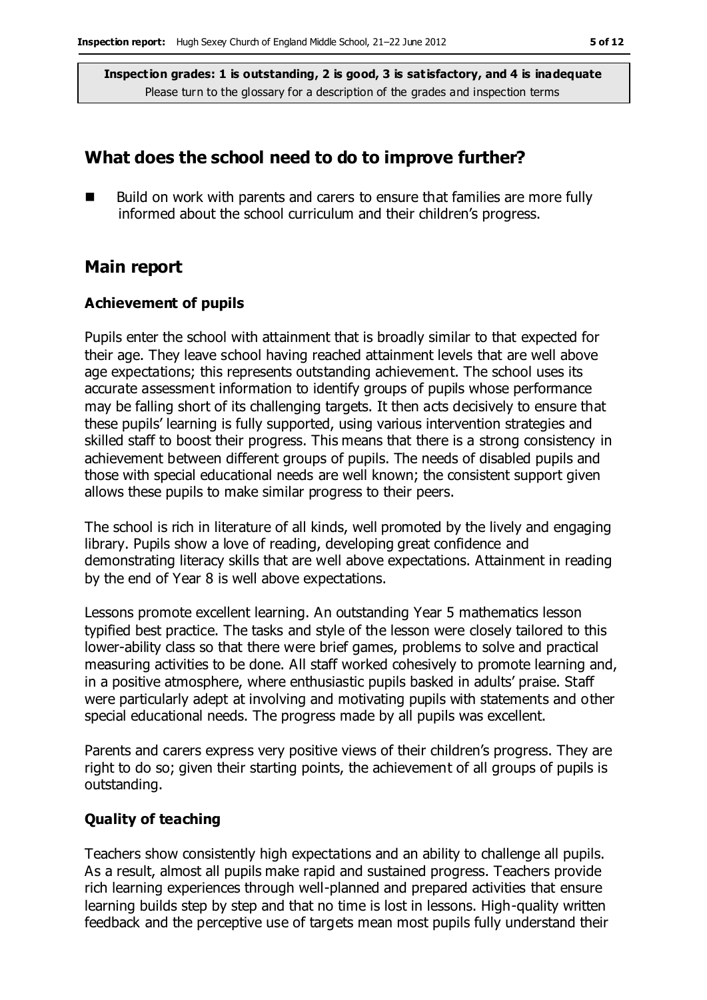### **What does the school need to do to improve further?**

 Build on work with parents and carers to ensure that families are more fully informed about the school curriculum and their children's progress.

#### **Main report**

#### **Achievement of pupils**

Pupils enter the school with attainment that is broadly similar to that expected for their age. They leave school having reached attainment levels that are well above age expectations; this represents outstanding achievement. The school uses its accurate assessment information to identify groups of pupils whose performance may be falling short of its challenging targets. It then acts decisively to ensure that these pupils' learning is fully supported, using various intervention strategies and skilled staff to boost their progress. This means that there is a strong consistency in achievement between different groups of pupils. The needs of disabled pupils and those with special educational needs are well known; the consistent support given allows these pupils to make similar progress to their peers.

The school is rich in literature of all kinds, well promoted by the lively and engaging library. Pupils show a love of reading, developing great confidence and demonstrating literacy skills that are well above expectations. Attainment in reading by the end of Year 8 is well above expectations.

Lessons promote excellent learning. An outstanding Year 5 mathematics lesson typified best practice. The tasks and style of the lesson were closely tailored to this lower-ability class so that there were brief games, problems to solve and practical measuring activities to be done. All staff worked cohesively to promote learning and, in a positive atmosphere, where enthusiastic pupils basked in adults' praise. Staff were particularly adept at involving and motivating pupils with statements and other special educational needs. The progress made by all pupils was excellent.

Parents and carers express very positive views of their children's progress. They are right to do so; given their starting points, the achievement of all groups of pupils is outstanding.

#### **Quality of teaching**

Teachers show consistently high expectations and an ability to challenge all pupils. As a result, almost all pupils make rapid and sustained progress. Teachers provide rich learning experiences through well-planned and prepared activities that ensure learning builds step by step and that no time is lost in lessons. High-quality written feedback and the perceptive use of targets mean most pupils fully understand their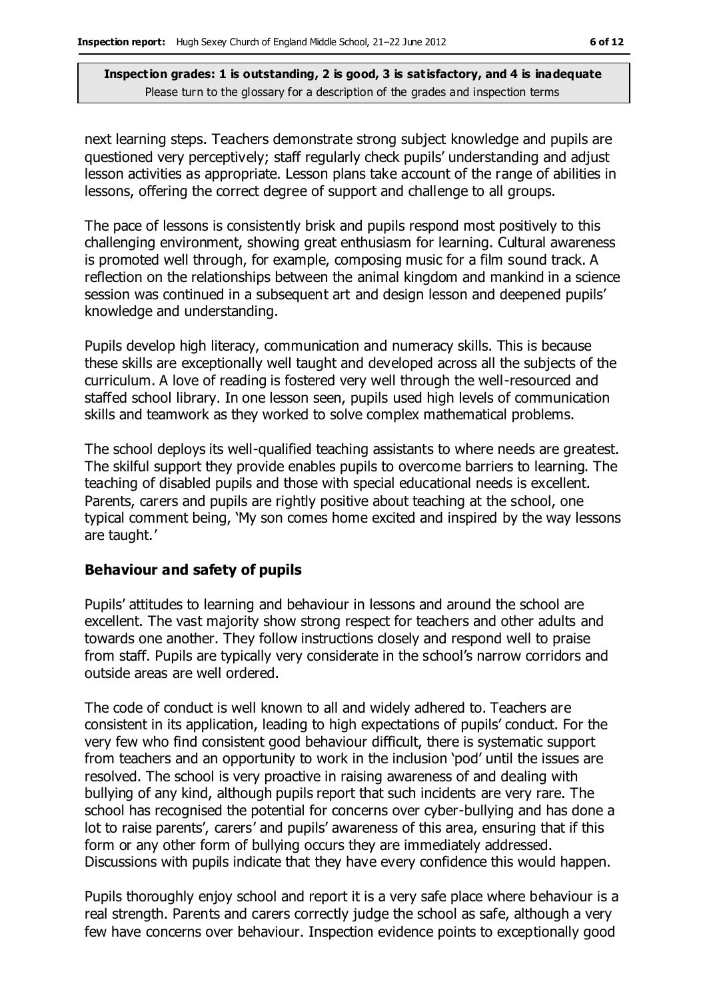next learning steps. Teachers demonstrate strong subject knowledge and pupils are questioned very perceptively; staff regularly check pupils' understanding and adjust lesson activities as appropriate. Lesson plans take account of the range of abilities in lessons, offering the correct degree of support and challenge to all groups.

The pace of lessons is consistently brisk and pupils respond most positively to this challenging environment, showing great enthusiasm for learning. Cultural awareness is promoted well through, for example, composing music for a film sound track. A reflection on the relationships between the animal kingdom and mankind in a science session was continued in a subsequent art and design lesson and deepened pupils' knowledge and understanding.

Pupils develop high literacy, communication and numeracy skills. This is because these skills are exceptionally well taught and developed across all the subjects of the curriculum. A love of reading is fostered very well through the well-resourced and staffed school library. In one lesson seen, pupils used high levels of communication skills and teamwork as they worked to solve complex mathematical problems.

The school deploys its well-qualified teaching assistants to where needs are greatest. The skilful support they provide enables pupils to overcome barriers to learning. The teaching of disabled pupils and those with special educational needs is excellent. Parents, carers and pupils are rightly positive about teaching at the school, one typical comment being, 'My son comes home excited and inspired by the way lessons are taught.'

#### **Behaviour and safety of pupils**

Pupils' attitudes to learning and behaviour in lessons and around the school are excellent. The vast majority show strong respect for teachers and other adults and towards one another. They follow instructions closely and respond well to praise from staff. Pupils are typically very considerate in the school's narrow corridors and outside areas are well ordered.

The code of conduct is well known to all and widely adhered to. Teachers are consistent in its application, leading to high expectations of pupils' conduct. For the very few who find consistent good behaviour difficult, there is systematic support from teachers and an opportunity to work in the inclusion 'pod' until the issues are resolved. The school is very proactive in raising awareness of and dealing with bullying of any kind, although pupils report that such incidents are very rare. The school has recognised the potential for concerns over cyber-bullying and has done a lot to raise parents', carers' and pupils' awareness of this area, ensuring that if this form or any other form of bullying occurs they are immediately addressed. Discussions with pupils indicate that they have every confidence this would happen.

Pupils thoroughly enjoy school and report it is a very safe place where behaviour is a real strength. Parents and carers correctly judge the school as safe, although a very few have concerns over behaviour. Inspection evidence points to exceptionally good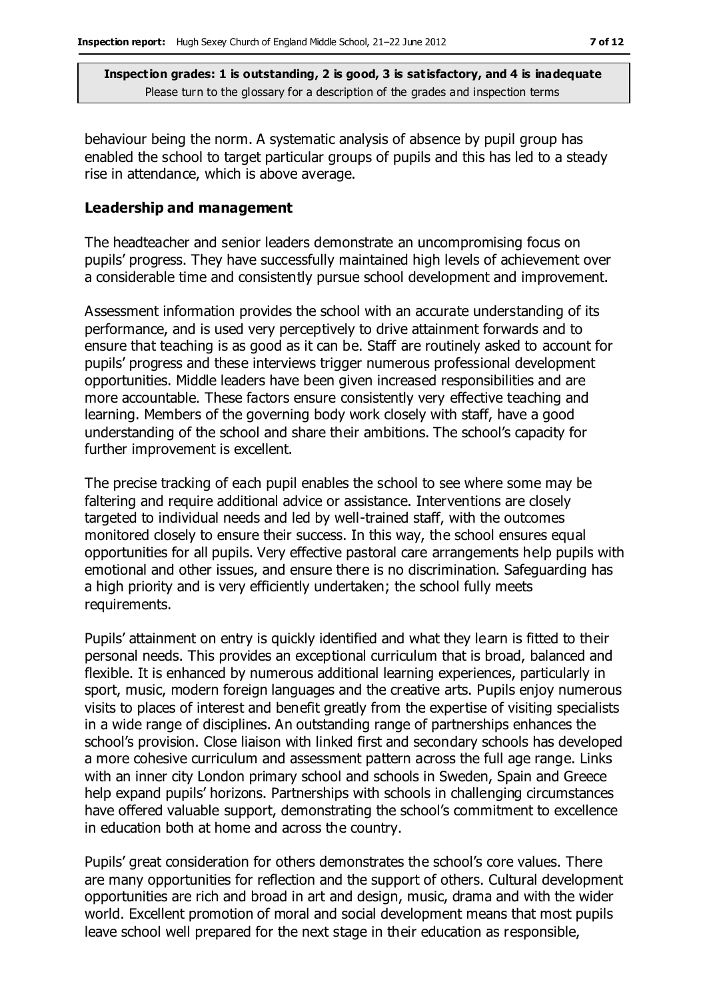behaviour being the norm. A systematic analysis of absence by pupil group has enabled the school to target particular groups of pupils and this has led to a steady rise in attendance, which is above average.

#### **Leadership and management**

The headteacher and senior leaders demonstrate an uncompromising focus on pupils' progress. They have successfully maintained high levels of achievement over a considerable time and consistently pursue school development and improvement.

Assessment information provides the school with an accurate understanding of its performance, and is used very perceptively to drive attainment forwards and to ensure that teaching is as good as it can be. Staff are routinely asked to account for pupils' progress and these interviews trigger numerous professional development opportunities. Middle leaders have been given increased responsibilities and are more accountable. These factors ensure consistently very effective teaching and learning. Members of the governing body work closely with staff, have a good understanding of the school and share their ambitions. The school's capacity for further improvement is excellent.

The precise tracking of each pupil enables the school to see where some may be faltering and require additional advice or assistance. Interventions are closely targeted to individual needs and led by well-trained staff, with the outcomes monitored closely to ensure their success. In this way, the school ensures equal opportunities for all pupils. Very effective pastoral care arrangements help pupils with emotional and other issues, and ensure there is no discrimination. Safeguarding has a high priority and is very efficiently undertaken; the school fully meets requirements.

Pupils' attainment on entry is quickly identified and what they learn is fitted to their personal needs. This provides an exceptional curriculum that is broad, balanced and flexible. It is enhanced by numerous additional learning experiences, particularly in sport, music, modern foreign languages and the creative arts. Pupils enjoy numerous visits to places of interest and benefit greatly from the expertise of visiting specialists in a wide range of disciplines. An outstanding range of partnerships enhances the school's provision. Close liaison with linked first and secondary schools has developed a more cohesive curriculum and assessment pattern across the full age range. Links with an inner city London primary school and schools in Sweden, Spain and Greece help expand pupils' horizons. Partnerships with schools in challenging circumstances have offered valuable support, demonstrating the school's commitment to excellence in education both at home and across the country.

Pupils' great consideration for others demonstrates the school's core values. There are many opportunities for reflection and the support of others. Cultural development opportunities are rich and broad in art and design, music, drama and with the wider world. Excellent promotion of moral and social development means that most pupils leave school well prepared for the next stage in their education as responsible,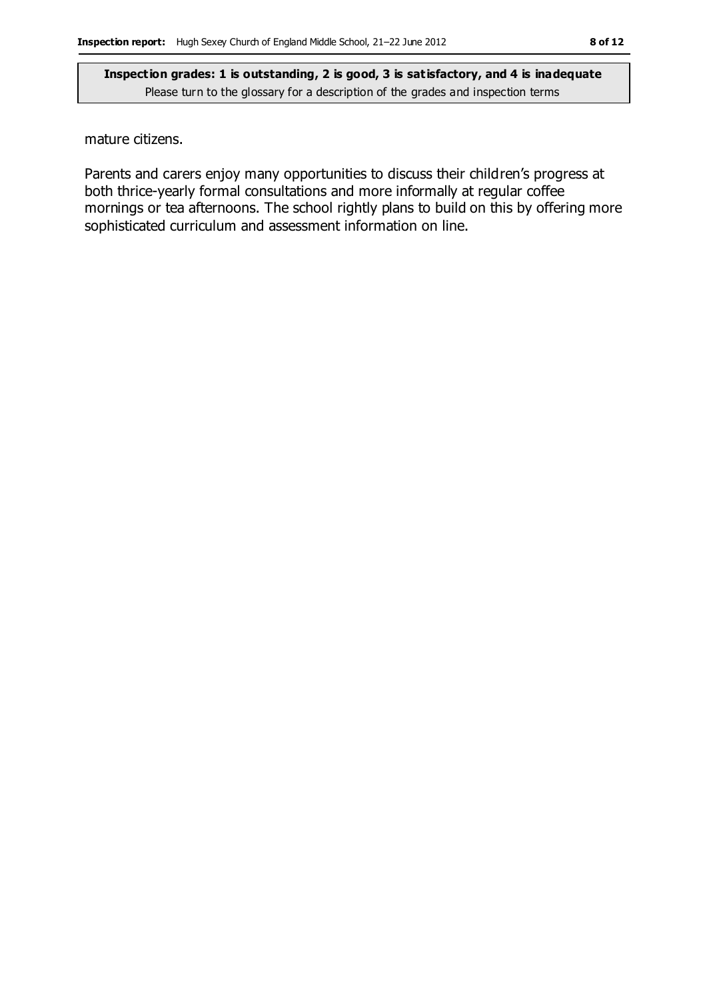mature citizens.

Parents and carers enjoy many opportunities to discuss their children's progress at both thrice-yearly formal consultations and more informally at regular coffee mornings or tea afternoons. The school rightly plans to build on this by offering more sophisticated curriculum and assessment information on line.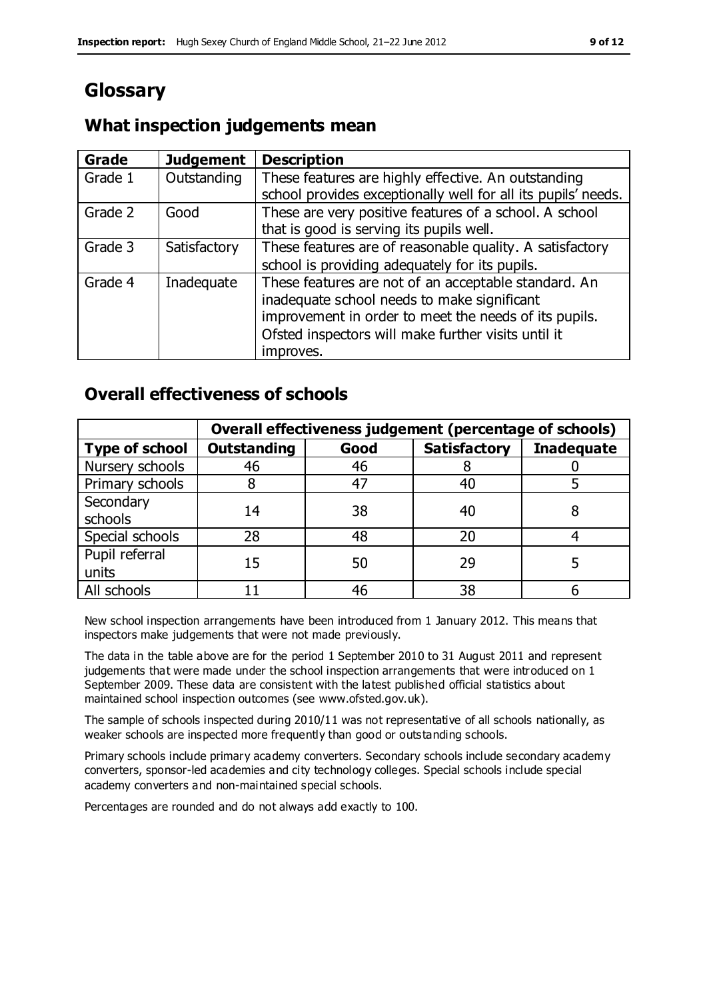## **Glossary**

### **What inspection judgements mean**

| Grade   | <b>Judgement</b> | <b>Description</b>                                                                                                                                                                                                               |
|---------|------------------|----------------------------------------------------------------------------------------------------------------------------------------------------------------------------------------------------------------------------------|
| Grade 1 | Outstanding      | These features are highly effective. An outstanding<br>school provides exceptionally well for all its pupils' needs.                                                                                                             |
| Grade 2 | Good             | These are very positive features of a school. A school<br>that is good is serving its pupils well.                                                                                                                               |
| Grade 3 | Satisfactory     | These features are of reasonable quality. A satisfactory<br>school is providing adequately for its pupils.                                                                                                                       |
| Grade 4 | Inadequate       | These features are not of an acceptable standard. An<br>inadequate school needs to make significant<br>improvement in order to meet the needs of its pupils.<br>Ofsted inspectors will make further visits until it<br>improves. |

### **Overall effectiveness of schools**

|                       | Overall effectiveness judgement (percentage of schools) |      |                     |                   |
|-----------------------|---------------------------------------------------------|------|---------------------|-------------------|
| <b>Type of school</b> | <b>Outstanding</b>                                      | Good | <b>Satisfactory</b> | <b>Inadequate</b> |
| Nursery schools       | 46                                                      | 46   |                     |                   |
| Primary schools       |                                                         | 47   | 40                  |                   |
| Secondary             | 14                                                      | 38   | 40                  |                   |
| schools               |                                                         |      |                     |                   |
| Special schools       | 28                                                      | 48   | 20                  |                   |
| Pupil referral        | 15                                                      | 50   | 29                  |                   |
| units                 |                                                         |      |                     |                   |
| All schools           |                                                         | 46   | 38                  |                   |

New school inspection arrangements have been introduced from 1 January 2012. This means that inspectors make judgements that were not made previously.

The data in the table above are for the period 1 September 2010 to 31 August 2011 and represent judgements that were made under the school inspection arrangements that were introduced on 1 September 2009. These data are consistent with the latest published official statistics about maintained school inspection outcomes (see www.ofsted.gov.uk).

The sample of schools inspected during 2010/11 was not representative of all schools nationally, as weaker schools are inspected more frequently than good or outstanding schools.

Primary schools include primary academy converters. Secondary schools include secondary academy converters, sponsor-led academies and city technology colleges. Special schools include special academy converters and non-maintained special schools.

Percentages are rounded and do not always add exactly to 100.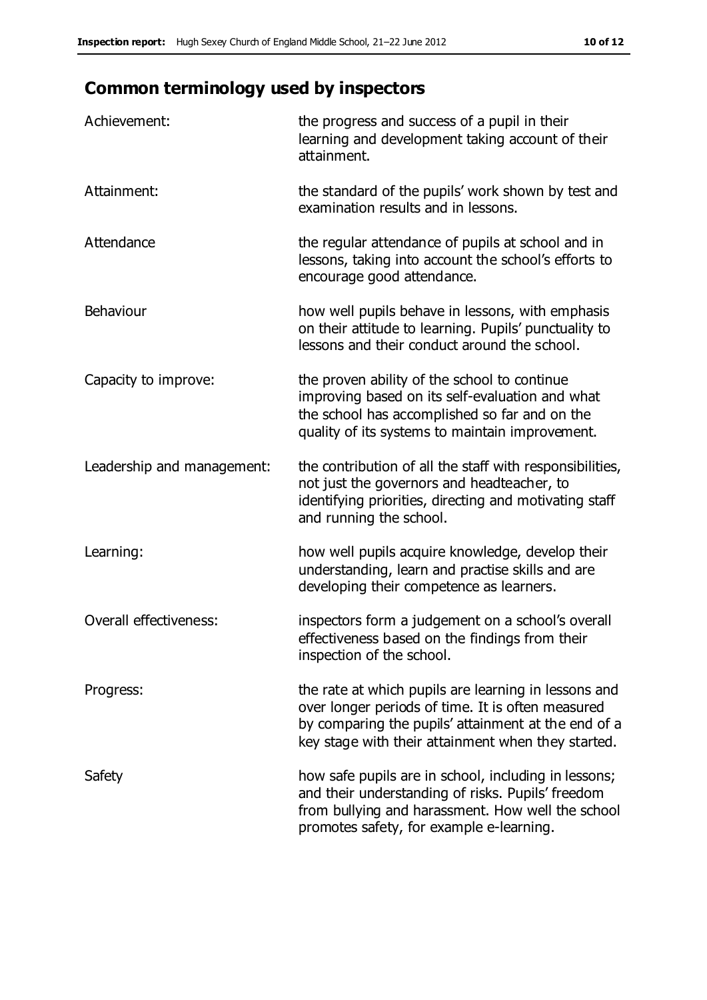### **Common terminology used by inspectors**

| Achievement:                  | the progress and success of a pupil in their<br>learning and development taking account of their<br>attainment.                                                                                                        |
|-------------------------------|------------------------------------------------------------------------------------------------------------------------------------------------------------------------------------------------------------------------|
| Attainment:                   | the standard of the pupils' work shown by test and<br>examination results and in lessons.                                                                                                                              |
| Attendance                    | the regular attendance of pupils at school and in<br>lessons, taking into account the school's efforts to<br>encourage good attendance.                                                                                |
| Behaviour                     | how well pupils behave in lessons, with emphasis<br>on their attitude to learning. Pupils' punctuality to<br>lessons and their conduct around the school.                                                              |
| Capacity to improve:          | the proven ability of the school to continue<br>improving based on its self-evaluation and what<br>the school has accomplished so far and on the<br>quality of its systems to maintain improvement.                    |
| Leadership and management:    | the contribution of all the staff with responsibilities,<br>not just the governors and headteacher, to<br>identifying priorities, directing and motivating staff<br>and running the school.                            |
| Learning:                     | how well pupils acquire knowledge, develop their<br>understanding, learn and practise skills and are<br>developing their competence as learners.                                                                       |
| <b>Overall effectiveness:</b> | inspectors form a judgement on a school's overall<br>effectiveness based on the findings from their<br>inspection of the school.                                                                                       |
| Progress:                     | the rate at which pupils are learning in lessons and<br>over longer periods of time. It is often measured<br>by comparing the pupils' attainment at the end of a<br>key stage with their attainment when they started. |
| Safety                        | how safe pupils are in school, including in lessons;<br>and their understanding of risks. Pupils' freedom<br>from bullying and harassment. How well the school<br>promotes safety, for example e-learning.             |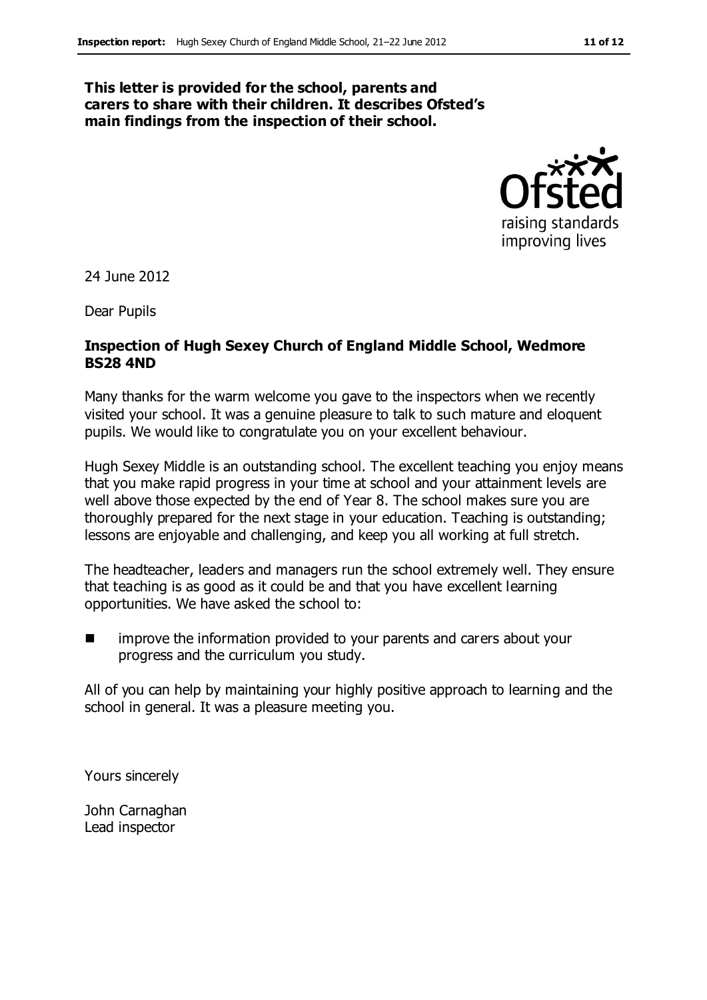#### **This letter is provided for the school, parents and carers to share with their children. It describes Ofsted's main findings from the inspection of their school.**



24 June 2012

Dear Pupils

#### **Inspection of Hugh Sexey Church of England Middle School, Wedmore BS28 4ND**

Many thanks for the warm welcome you gave to the inspectors when we recently visited your school. It was a genuine pleasure to talk to such mature and eloquent pupils. We would like to congratulate you on your excellent behaviour.

Hugh Sexey Middle is an outstanding school. The excellent teaching you enjoy means that you make rapid progress in your time at school and your attainment levels are well above those expected by the end of Year 8. The school makes sure you are thoroughly prepared for the next stage in your education. Teaching is outstanding; lessons are enjoyable and challenging, and keep you all working at full stretch.

The headteacher, leaders and managers run the school extremely well. They ensure that teaching is as good as it could be and that you have excellent learning opportunities. We have asked the school to:

**IF** improve the information provided to your parents and carers about your progress and the curriculum you study.

All of you can help by maintaining your highly positive approach to learning and the school in general. It was a pleasure meeting you.

Yours sincerely

John Carnaghan Lead inspector